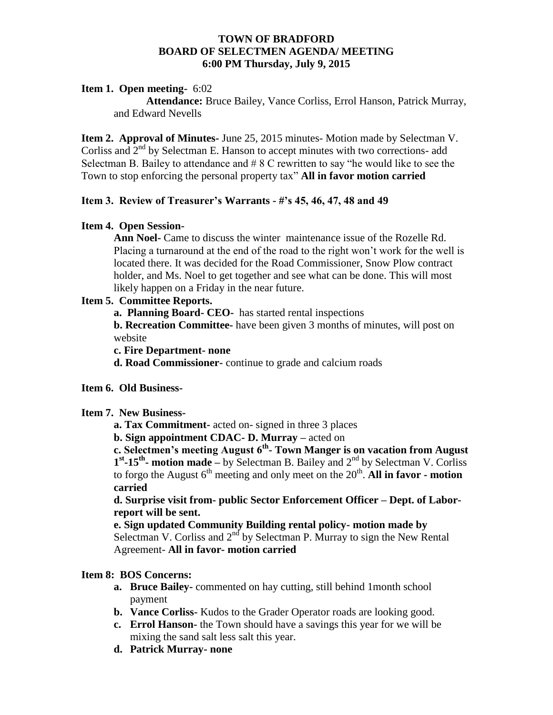#### **TOWN OF BRADFORD BOARD OF SELECTMEN AGENDA/ MEETING 6:00 PM Thursday, July 9, 2015**

### **Item 1. Open meeting-** 6:02

**Attendance:** Bruce Bailey, Vance Corliss, Errol Hanson, Patrick Murray, and Edward Nevells

**Item 2. Approval of Minutes-** June 25, 2015 minutes- Motion made by Selectman V. Corliss and  $2<sup>nd</sup>$  by Selectman E. Hanson to accept minutes with two corrections- add Selectman B. Bailey to attendance and # 8 C rewritten to say "he would like to see the Town to stop enforcing the personal property tax" **All in favor motion carried**

### **Item 3. Review of Treasurer's Warrants - #'s 45, 46, 47, 48 and 49**

### **Item 4. Open Session-**

**Ann Noel-** Came to discuss the winter maintenance issue of the Rozelle Rd. Placing a turnaround at the end of the road to the right won't work for the well is located there. It was decided for the Road Commissioner, Snow Plow contract holder, and Ms. Noel to get together and see what can be done. This will most likely happen on a Friday in the near future.

### **Item 5. Committee Reports.**

**a. Planning Board- CEO-** has started rental inspections

**b. Recreation Committee-** have been given 3 months of minutes, will post on website

**c. Fire Department- none** 

**d. Road Commissioner-** continue to grade and calcium roads

### **Item 6. Old Business-**

### **Item 7. New Business-**

**a. Tax Commitment-** acted on- signed in three 3 places

 **b. Sign appointment CDAC- D. Murray –** acted on

**c. Selectmen's meeting August 6th - Town Manger is on vacation from August**  1<sup>st</sup>-15<sup>th</sup> motion made – by Selectman B. Bailey and 2<sup>nd</sup> by Selectman V. Corliss to forgo the August  $6<sup>th</sup>$  meeting and only meet on the  $20<sup>th</sup>$ . All in favor - motion **carried**

**d. Surprise visit from- public Sector Enforcement Officer – Dept. of Laborreport will be sent.**

**e. Sign updated Community Building rental policy- motion made by**  Selectman V. Corliss and  $2<sup>nd</sup>$  by Selectman P. Murray to sign the New Rental Agreement- **All in favor- motion carried**

### **Item 8: BOS Concerns:**

- **a. Bruce Bailey-** commented on hay cutting, still behind 1month school payment
- **b. Vance Corliss-** Kudos to the Grader Operator roads are looking good.
- **c. Errol Hanson-** the Town should have a savings this year for we will be mixing the sand salt less salt this year.
- **d. Patrick Murray- none**